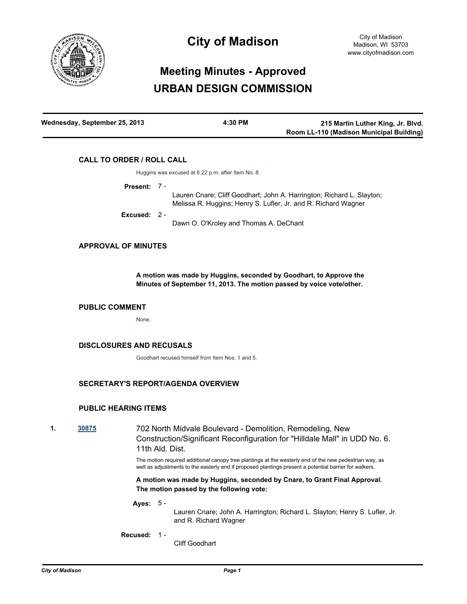

# **City of Madison**

# **Meeting Minutes - Approved URBAN DESIGN COMMISSION**

| Wednesday, September 25, 2013 | 4:30 PM | 215 Martin Luther King, Jr. Blvd.        |
|-------------------------------|---------|------------------------------------------|
|                               |         | Room LL-110 (Madison Municipal Building) |

# **CALL TO ORDER / ROLL CALL**

Huggins was excused at 6:22 p.m. after Item No. 8.

**Present:** 7 -

Lauren Cnare; Cliff Goodhart; John A. Harrington; Richard L. Slayton; Melissa R. Huggins; Henry S. Lufler, Jr. and R. Richard Wagner Dawn O. O'Kroley and Thomas A. DeChant **Excused:** 2 -

## **APPROVAL OF MINUTES**

**A motion was made by Huggins, seconded by Goodhart, to Approve the Minutes of September 11, 2013. The motion passed by voice vote/other.**

## **PUBLIC COMMENT**

None.

# **DISCLOSURES AND RECUSALS**

Goodhart recused himself from Item Nos. 1 and 5.

# **SECRETARY'S REPORT/AGENDA OVERVIEW**

# **PUBLIC HEARING ITEMS**

**1. [30875](http://madison.legistar.com/gateway.aspx?m=l&id=/matter.aspx?key=33800)** 702 North Midvale Boulevard - Demolition, Remodeling, New Construction/Significant Reconfiguration for "Hilldale Mall" in UDD No. 6. 11th Ald. Dist.

> The motion required additional canopy tree plantings at the westerly end of the new pedestrian way, as well as adjustments to the easterly end if proposed plantings present a potential barrier for walkers.

**A motion was made by Huggins, seconded by Cnare, to Grant Final Approval. The motion passed by the following vote:**

#### **Ayes:** 5 -

Lauren Cnare; John A. Harrington; Richard L. Slayton; Henry S. Lufler, Jr. and R. Richard Wagner

**Recused:** 1 -

Cliff Goodhart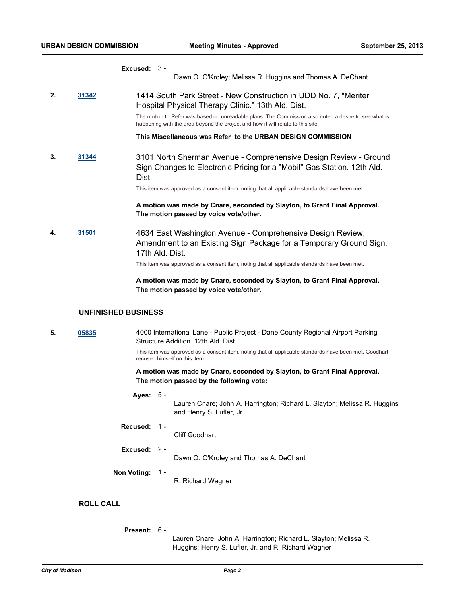#### **Excused:** 3 -

Dawn O. O'Kroley; Melissa R. Huggins and Thomas A. DeChant

**2. [31342](http://madison.legistar.com/gateway.aspx?m=l&id=/matter.aspx?key=34307)** 1414 South Park Street - New Construction in UDD No. 7, "Meriter Hospital Physical Therapy Clinic." 13th Ald. Dist.

> The motion to Refer was based on unreadable plans. The Commission also noted a desire to see what is happening with the area beyond the project and how it will relate to this site.

**This Miscellaneous was Refer to the URBAN DESIGN COMMISSION**

**3. [31344](http://madison.legistar.com/gateway.aspx?m=l&id=/matter.aspx?key=34309)** 3101 North Sherman Avenue - Comprehensive Design Review - Ground Sign Changes to Electronic Pricing for a "Mobil" Gas Station. 12th Ald. Dist.

This item was approved as a consent item, noting that all applicable standards have been met.

**A motion was made by Cnare, seconded by Slayton, to Grant Final Approval. The motion passed by voice vote/other.**

**4. [31501](http://madison.legistar.com/gateway.aspx?m=l&id=/matter.aspx?key=34481)** 4634 East Washington Avenue - Comprehensive Design Review, Amendment to an Existing Sign Package for a Temporary Ground Sign. 17th Ald. Dist.

This item was approved as a consent item, noting that all applicable standards have been met.

#### **A motion was made by Cnare, seconded by Slayton, to Grant Final Approval. The motion passed by voice vote/other.**

### **UNFINISHED BUSINESS**

**5. [05835](http://madison.legistar.com/gateway.aspx?m=l&id=/matter.aspx?key=6838)** 4000 International Lane - Public Project - Dane County Regional Airport Parking Structure Addition. 12th Ald. Dist.

This item was approved as a consent item, noting that all applicable standards have been met. Goodhart recused himself on this item.

#### **A motion was made by Cnare, seconded by Slayton, to Grant Final Approval. The motion passed by the following vote:**

#### **Ayes:** 5 -

Lauren Cnare; John A. Harrington; Richard L. Slayton; Melissa R. Huggins and Henry S. Lufler, Jr.

**Recused:** 1 -

Cliff Goodhart

**Excused:** 2 -

Dawn O. O'Kroley and Thomas A. DeChant

**Non Voting:** 1 -

R. Richard Wagner

# **ROLL CALL**

**Present:** 6 -

Lauren Cnare; John A. Harrington; Richard L. Slayton; Melissa R. Huggins; Henry S. Lufler, Jr. and R. Richard Wagner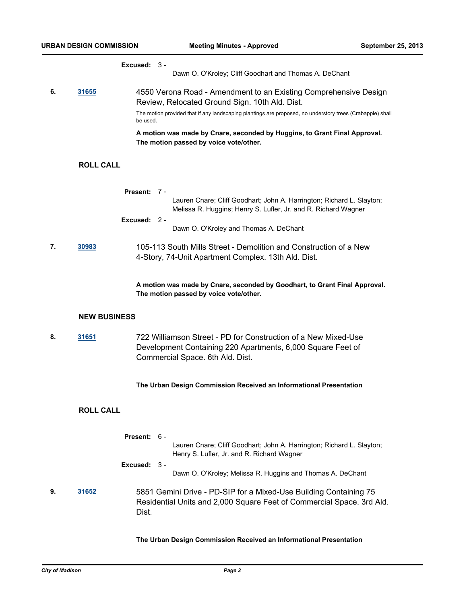#### **Excused:** 3 -

Dawn O. O'Kroley; Cliff Goodhart and Thomas A. DeChant

**6. [31655](http://madison.legistar.com/gateway.aspx?m=l&id=/matter.aspx?key=34652)** 4550 Verona Road - Amendment to an Existing Comprehensive Design Review, Relocated Ground Sign. 10th Ald. Dist. The motion provided that if any landscaping plantings are proposed, no understory trees (Crabapple) shall be used.

> **A motion was made by Cnare, seconded by Huggins, to Grant Final Approval. The motion passed by voice vote/other.**

# **ROLL CALL**

| 7. | 30983               | Present:<br>Excused: 2 -                                                                                                                                          | - 7 -<br>Lauren Cnare; Cliff Goodhart; John A. Harrington; Richard L. Slayton;<br>Melissa R. Huggins; Henry S. Lufler, Jr. and R. Richard Wagner<br>Dawn O. O'Kroley and Thomas A. DeChant<br>105-113 South Mills Street - Demolition and Construction of a New<br>4-Story, 74-Unit Apartment Complex. 13th Ald. Dist. |
|----|---------------------|-------------------------------------------------------------------------------------------------------------------------------------------------------------------|------------------------------------------------------------------------------------------------------------------------------------------------------------------------------------------------------------------------------------------------------------------------------------------------------------------------|
|    |                     |                                                                                                                                                                   | A motion was made by Cnare, seconded by Goodhart, to Grant Final Approval.<br>The motion passed by voice vote/other.                                                                                                                                                                                                   |
|    | <b>NEW BUSINESS</b> |                                                                                                                                                                   |                                                                                                                                                                                                                                                                                                                        |
| 8. | 31651               | 722 Williamson Street - PD for Construction of a New Mixed-Use<br>Development Containing 220 Apartments, 6,000 Square Feet of<br>Commercial Space. 6th Ald. Dist. |                                                                                                                                                                                                                                                                                                                        |
|    |                     |                                                                                                                                                                   | The Urban Design Commission Received an Informational Presentation                                                                                                                                                                                                                                                     |
|    | <b>ROLL CALL</b>    |                                                                                                                                                                   |                                                                                                                                                                                                                                                                                                                        |
|    |                     | Present: 6 -                                                                                                                                                      | Lauren Cnare; Cliff Goodhart; John A. Harrington; Richard L. Slayton;<br>Henry S. Lufler, Jr. and R. Richard Wagner                                                                                                                                                                                                    |
|    |                     | Excused: $3 -$                                                                                                                                                    | Dawn O. O'Kroley; Melissa R. Huggins and Thomas A. DeChant                                                                                                                                                                                                                                                             |
| 9. | 31652               | Dist.                                                                                                                                                             | 5851 Gemini Drive - PD-SIP for a Mixed-Use Building Containing 75<br>Residential Units and 2,000 Square Feet of Commercial Space. 3rd Ald.                                                                                                                                                                             |

**The Urban Design Commission Received an Informational Presentation**